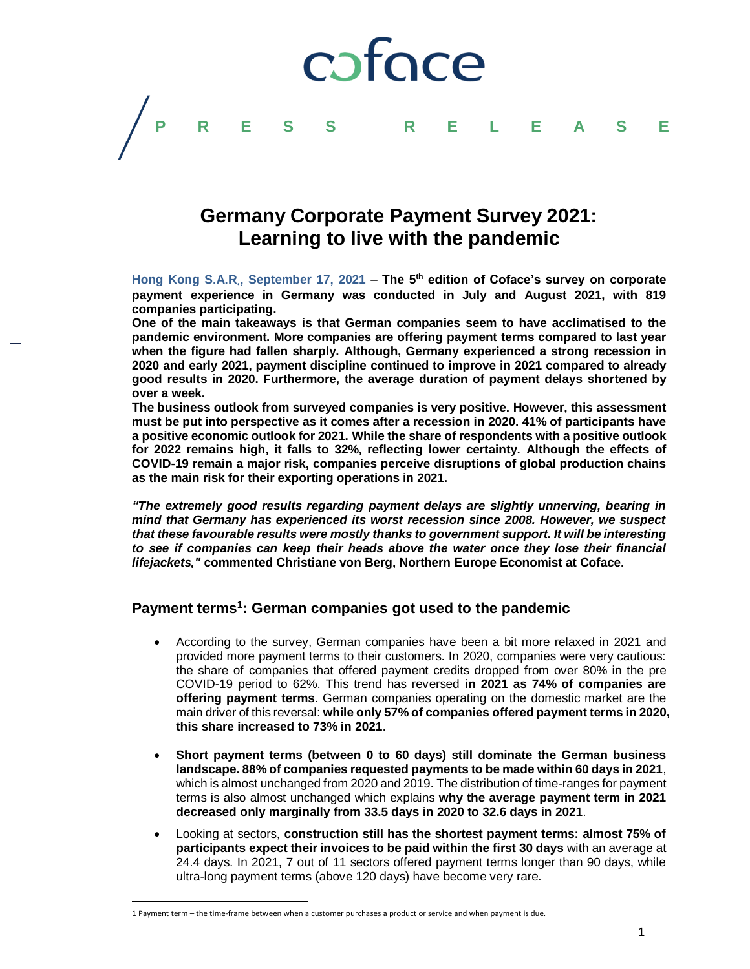

# **Germany Corporate Payment Survey 2021: Learning to live with the pandemic**

**Hong Kong S.A.R**.**, September 17, 2021** – **The 5 th edition of Coface's survey on corporate payment experience in Germany was conducted in July and August 2021, with 819 companies participating.**

**One of the main takeaways is that German companies seem to have acclimatised to the pandemic environment. More companies are offering payment terms compared to last year when the figure had fallen sharply. Although, Germany experienced a strong recession in 2020 and early 2021, payment discipline continued to improve in 2021 compared to already good results in 2020. Furthermore, the average duration of payment delays shortened by over a week.**

**The business outlook from surveyed companies is very positive. However, this assessment must be put into perspective as it comes after a recession in 2020. 41% of participants have a positive economic outlook for 2021. While the share of respondents with a positive outlook for 2022 remains high, it falls to 32%, reflecting lower certainty. Although the effects of COVID-19 remain a major risk, companies perceive disruptions of global production chains as the main risk for their exporting operations in 2021.**

*"The extremely good results regarding payment delays are slightly unnerving, bearing in mind that Germany has experienced its worst recession since 2008. However, we suspect that these favourable results were mostly thanks to government support. It will be interesting to see if companies can keep their heads above the water once they lose their financial lifejackets,"* **commented Christiane von Berg, Northern Europe Economist at Coface.**

## **Payment terms<sup>1</sup> : German companies got used to the pandemic**

- According to the survey, German companies have been a bit more relaxed in 2021 and provided more payment terms to their customers. In 2020, companies were very cautious: the share of companies that offered payment credits dropped from over 80% in the pre COVID-19 period to 62%. This trend has reversed **in 2021 as 74% of companies are offering payment terms**. German companies operating on the domestic market are the main driver of this reversal: **while only 57% of companies offered payment terms in 2020, this share increased to 73% in 2021**.
- **Short payment terms (between 0 to 60 days) still dominate the German business landscape. 88% of companies requested payments to be made within 60 days in 2021**, which is almost unchanged from 2020 and 2019. The distribution of time-ranges for payment terms is also almost unchanged which explains **why the average payment term in 2021 decreased only marginally from 33.5 days in 2020 to 32.6 days in 2021**.
- Looking at sectors, **construction still has the shortest payment terms: almost 75% of participants expect their invoices to be paid within the first 30 days** with an average at 24.4 days. In 2021, 7 out of 11 sectors offered payment terms longer than 90 days, while ultra-long payment terms (above 120 days) have become very rare.

l

<sup>1</sup> Payment term – the time-frame between when a customer purchases a product or service and when payment is due.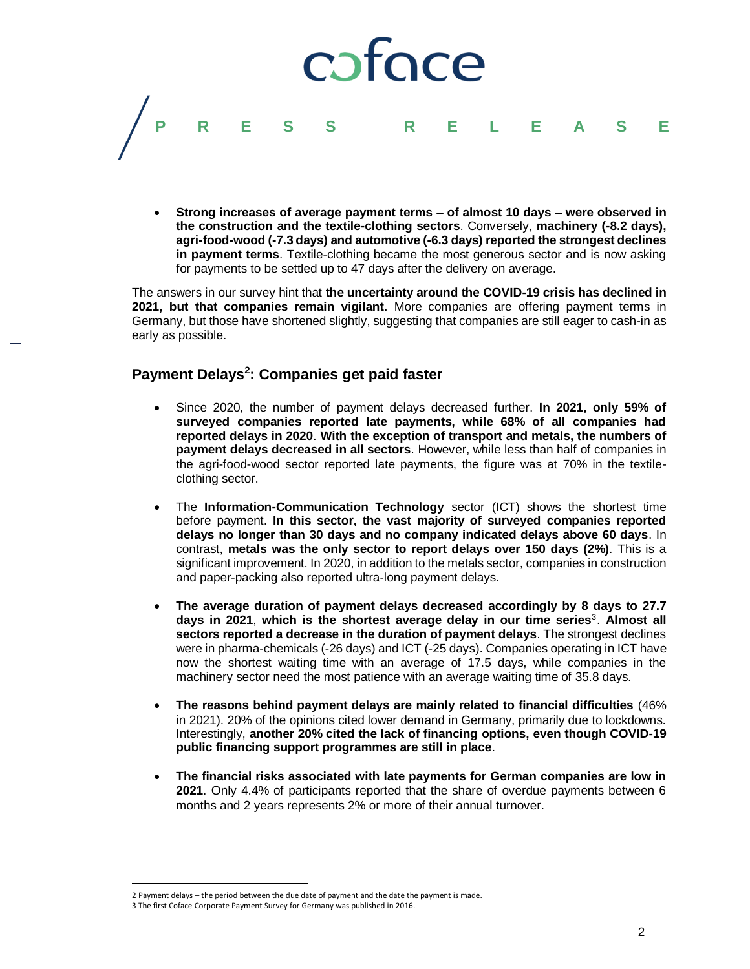

 **Strong increases of average payment terms – of almost 10 days – were observed in the construction and the textile-clothing sectors**. Conversely, **machinery (-8.2 days), agri-food-wood (-7.3 days) and automotive (-6.3 days) reported the strongest declines in payment terms**. Textile-clothing became the most generous sector and is now asking for payments to be settled up to 47 days after the delivery on average.

The answers in our survey hint that **the uncertainty around the COVID-19 crisis has declined in 2021, but that companies remain vigilant**. More companies are offering payment terms in Germany, but those have shortened slightly, suggesting that companies are still eager to cash-in as early as possible.

# **Payment Delays<sup>2</sup> : Companies get paid faster**

- Since 2020, the number of payment delays decreased further. **In 2021, only 59% of surveyed companies reported late payments, while 68% of all companies had reported delays in 2020**. **With the exception of transport and metals, the numbers of payment delays decreased in all sectors**. However, while less than half of companies in the agri-food-wood sector reported late payments, the figure was at 70% in the textileclothing sector.
- The **Information-Communication Technology** sector (ICT) shows the shortest time before payment. **In this sector, the vast majority of surveyed companies reported delays no longer than 30 days and no company indicated delays above 60 days**. In contrast, **metals was the only sector to report delays over 150 days (2%)**. This is a significant improvement. In 2020, in addition to the metals sector, companies in construction and paper-packing also reported ultra-long payment delays.
- **The average duration of payment delays decreased accordingly by 8 days to 27.7 days in 2021**, **which is the shortest average delay in our time series**<sup>3</sup> . **Almost all sectors reported a decrease in the duration of payment delays**. The strongest declines were in pharma-chemicals (-26 days) and ICT (-25 days). Companies operating in ICT have now the shortest waiting time with an average of 17.5 days, while companies in the machinery sector need the most patience with an average waiting time of 35.8 days.
- **The reasons behind payment delays are mainly related to financial difficulties** (46% in 2021). 20% of the opinions cited lower demand in Germany, primarily due to lockdowns. Interestingly, **another 20% cited the lack of financing options, even though COVID-19 public financing support programmes are still in place**.
- **The financial risks associated with late payments for German companies are low in 2021**. Only 4.4% of participants reported that the share of overdue payments between 6 months and 2 years represents 2% or more of their annual turnover.

 $\overline{\phantom{a}}$ 

<sup>2</sup> Payment delays – the period between the due date of payment and the date the payment is made.

<sup>3</sup> The first Coface Corporate Payment Survey for Germany was published in 2016.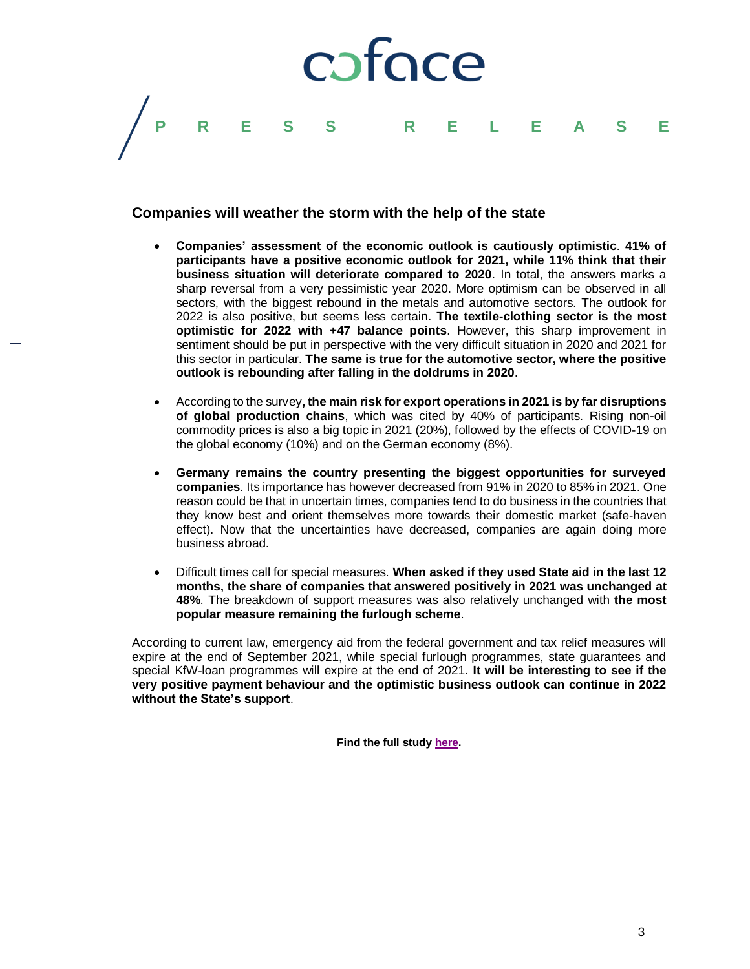

## **Companies will weather the storm with the help of the state**

- **Companies' assessment of the economic outlook is cautiously optimistic**. **41% of participants have a positive economic outlook for 2021, while 11% think that their business situation will deteriorate compared to 2020**. In total, the answers marks a sharp reversal from a very pessimistic year 2020. More optimism can be observed in all sectors, with the biggest rebound in the metals and automotive sectors. The outlook for 2022 is also positive, but seems less certain. **The textile-clothing sector is the most optimistic for 2022 with +47 balance points**. However, this sharp improvement in sentiment should be put in perspective with the very difficult situation in 2020 and 2021 for this sector in particular. **The same is true for the automotive sector, where the positive outlook is rebounding after falling in the doldrums in 2020**.
- According to the survey**, the main risk for export operations in 2021 is by far disruptions of global production chains**, which was cited by 40% of participants. Rising non-oil commodity prices is also a big topic in 2021 (20%), followed by the effects of COVID-19 on the global economy (10%) and on the German economy (8%).
- **Germany remains the country presenting the biggest opportunities for surveyed companies**. Its importance has however decreased from 91% in 2020 to 85% in 2021. One reason could be that in uncertain times, companies tend to do business in the countries that they know best and orient themselves more towards their domestic market (safe-haven effect). Now that the uncertainties have decreased, companies are again doing more business abroad.
- Difficult times call for special measures. **When asked if they used State aid in the last 12 months, the share of companies that answered positively in 2021 was unchanged at 48%**. The breakdown of support measures was also relatively unchanged with **the most popular measure remaining the furlough scheme**.

According to current law, emergency aid from the federal government and tax relief measures will expire at the end of September 2021, while special furlough programmes, state guarantees and special KfW-loan programmes will expire at the end of 2021. **It will be interesting to see if the very positive payment behaviour and the optimistic business outlook can continue in 2022 without the State's support**.

**Find the full study [here.](https://www.coface.com.hk/News-Publications-Events/Publications/Germany-Corporate-Payment-Survey-2021)**